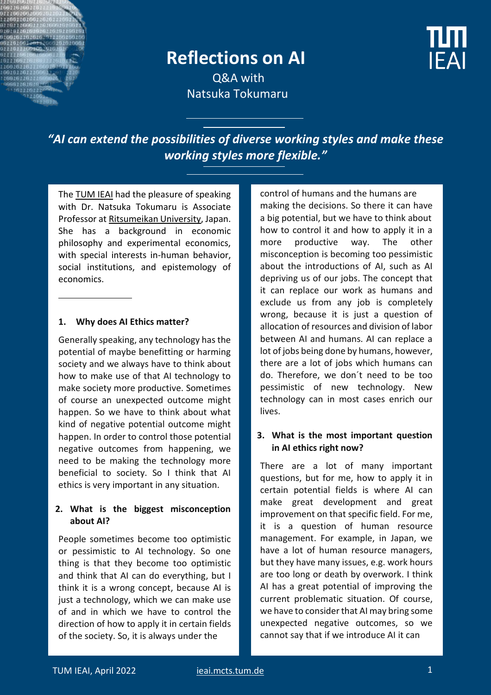

# **Reflections on AI**



Q&A with Natsuka Tokumaru

*"AI can extend the possibilities of diverse working styles and make these working styles more flexible."*

Th[e TUM IEAI](https://ieai.mcts.tum.de/) had the pleasure of speaking with Dr. Natsuka Tokumaru is Associate Professor a[t Ritsumeikan University,](http://en.ritsumei.ac.jp/) Japan. She has a background in economic philosophy and experimental economics, with special interests in-human behavior, social institutions, and epistemology of economics.

#### **1. Why does AI Ethics matter?**

Generally speaking, any technology has the potential of maybe benefitting or harming society and we always have to think about how to make use of that AI technology to make society more productive. Sometimes of course an unexpected outcome might happen. So we have to think about what kind of negative potential outcome might happen. In order to control those potential negative outcomes from happening, we need to be making the technology more beneficial to society. So I think that AI ethics is very important in any situation.

#### **2. What is the biggest misconception about AI?**

People sometimes become too optimistic or pessimistic to AI technology. So one thing is that they become too optimistic and think that AI can do everything, but I think it is a wrong concept, because AI is just a technology, which we can make use of and in which we have to control the direction of how to apply it in certain fields of the society. So, it is always under the

control of humans and the humans are making the decisions. So there it can have a big potential, but we have to think about how to control it and how to apply it in a more productive way. The other misconception is becoming too pessimistic about the introductions of AI, such as AI depriving us of our jobs. The concept that it can replace our work as humans and exclude us from any job is completely wrong, because it is just a question of allocation of resources and division of labor between AI and humans. AI can replace a lot of jobs being done by humans, however, there are a lot of jobs which humans can do. Therefore, we don´t need to be too pessimistic of new technology. New technology can in most cases enrich our lives.

#### **3. What is the most important question in AI ethics right now?**

There are a lot of many important questions, but for me, how to apply it in certain potential fields is where AI can make great development and great improvement on that specific field. For me, it is a question of human resource management. For example, in Japan, we have a lot of human resource managers, but they have many issues, e.g. work hours are too long or death by overwork. I think AI has a great potential of improving the current problematic situation. Of course, we have to consider that AI may bring some unexpected negative outcomes, so we cannot say that if we introduce AI it can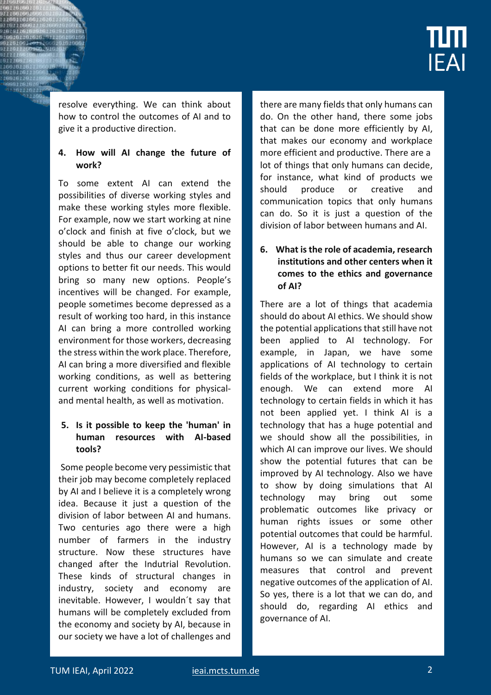

resolve everything. We can think about how to control the outcomes of AI and to give it a productive direction.

#### **4. How will AI change the future of work?**

To some extent AI can extend the possibilities of diverse working styles and make these working styles more flexible. For example, now we start working at nine o'clock and finish at five o'clock, but we should be able to change our working styles and thus our career development options to better fit our needs. This would bring so many new options. People's incentives will be changed. For example, people sometimes become depressed as a result of working too hard, in this instance AI can bring a more controlled working environment for those workers, decreasing the stress within the work place. Therefore, AI can bring a more diversified and flexible working conditions, as well as bettering current working conditions for physicaland mental health, as well as motivation.

#### **5. Is it possible to keep the 'human' in human resources with AI-based tools?**

Some people become very pessimistic that their job may become completely replaced by AI and I believe it is a completely wrong idea. Because it just a question of the division of labor between AI and humans. Two centuries ago there were a high number of farmers in the industry structure. Now these structures have changed after the Indutrial Revolution. These kinds of structural changes in industry, society and economy are inevitable. However, I wouldn´t say that humans will be completely excluded from the economy and society by AI, because in our society we have a lot of challenges and

there are many fields that only humans can do. On the other hand, there some jobs that can be done more efficiently by AI, that makes our economy and workplace more efficient and productive. There are a lot of things that only humans can decide, for instance, what kind of products we should produce or creative and communication topics that only humans can do. So it is just a question of the division of labor between humans and AI.

#### **6. What is the role of academia, research institutions and other centers when it comes to the ethics and governance of AI?**

There are a lot of things that academia should do about AI ethics. We should show the potential applications that still have not been applied to AI technology. For example, in Japan, we have some applications of AI technology to certain fields of the workplace, but I think it is not enough. We can extend more AI technology to certain fields in which it has not been applied yet. I think AI is a technology that has a huge potential and we should show all the possibilities, in which AI can improve our lives. We should show the potential futures that can be improved by AI technology. Also we have to show by doing simulations that AI technology may bring out some problematic outcomes like privacy or human rights issues or some other potential outcomes that could be harmful. However, AI is a technology made by humans so we can simulate and create measures that control and prevent negative outcomes of the application of AI. So yes, there is a lot that we can do, and should do, regarding AI ethics and governance of AI.